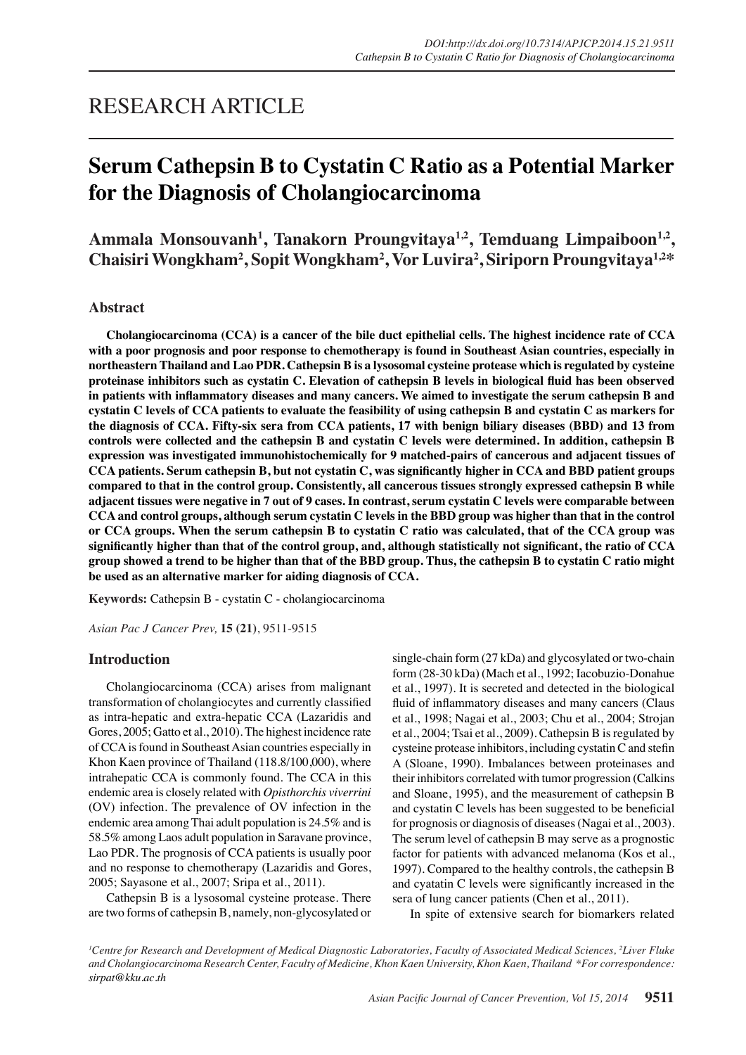# RESEARCH ARTICLE

# **Serum Cathepsin B to Cystatin C Ratio as a Potential Marker for the Diagnosis of Cholangiocarcinoma**

Ammala Monsouvanh<sup>1</sup>, Tanakorn Proungvitaya<sup>1,2</sup>, Temduang Limpaiboon<sup>1,2</sup>, **Chaisiri Wongkham<sup>2</sup> , Sopit Wongkham<sup>2</sup> , Vor Luvira2 , Siriporn Proungvitaya1,2\***

# **Abstract**

**Cholangiocarcinoma (CCA) is a cancer of the bile duct epithelial cells. The highest incidence rate of CCA with a poor prognosis and poor response to chemotherapy is found in Southeast Asian countries, especially in northeastern Thailand and Lao PDR. Cathepsin B is a lysosomal cysteine protease which is regulated by cysteine proteinase inhibitors such as cystatin C. Elevation of cathepsin B levels in biological fluid has been observed in patients with inflammatory diseases and many cancers. We aimed to investigate the serum cathepsin B and cystatin C levels of CCA patients to evaluate the feasibility of using cathepsin B and cystatin C as markers for the diagnosis of CCA. Fifty-six sera from CCA patients, 17 with benign biliary diseases (BBD) and 13 from controls were collected and the cathepsin B and cystatin C levels were determined. In addition, cathepsin B expression was investigated immunohistochemically for 9 matched-pairs of cancerous and adjacent tissues of CCA patients. Serum cathepsin B, but not cystatin C, was significantly higher in CCA and BBD patient groups compared to that in the control group. Consistently, all cancerous tissues strongly expressed cathepsin B while adjacent tissues were negative in 7 out of 9 cases. In contrast, serum cystatin C levels were comparable between CCA and control groups, although serum cystatin C levels in the BBD group was higher than that in the control or CCA groups. When the serum cathepsin B to cystatin C ratio was calculated, that of the CCA group was significantly higher than that of the control group, and, although statistically not significant, the ratio of CCA group showed a trend to be higher than that of the BBD group. Thus, the cathepsin B to cystatin C ratio might be used as an alternative marker for aiding diagnosis of CCA.**

**Keywords:** Cathepsin B - cystatin C - cholangiocarcinoma

*Asian Pac J Cancer Prev,* **15 (21)**, 9511-9515

# **Introduction**

Cholangiocarcinoma (CCA) arises from malignant transformation of cholangiocytes and currently classified as intra-hepatic and extra-hepatic CCA (Lazaridis and Gores, 2005; Gatto et al., 2010). The highest incidence rate of CCA is found in Southeast Asian countries especially in Khon Kaen province of Thailand (118.8/100,000), where intrahepatic CCA is commonly found. The CCA in this endemic area is closely related with *Opisthorchis viverrini* (OV) infection. The prevalence of OV infection in the endemic area among Thai adult population is 24.5% and is 58.5% among Laos adult population in Saravane province, Lao PDR. The prognosis of CCA patients is usually poor and no response to chemotherapy (Lazaridis and Gores, 2005; Sayasone et al., 2007; Sripa et al., 2011).

Cathepsin B is a lysosomal cysteine protease. There are two forms of cathepsin B, namely, non-glycosylated or single-chain form (27 kDa) and glycosylated or two-chain form (28-30 kDa) (Mach et al., 1992; Iacobuzio-Donahue et al., 1997). It is secreted and detected in the biological fluid of inflammatory diseases and many cancers (Claus et al., 1998; Nagai et al., 2003; Chu et al., 2004; Strojan et al., 2004; Tsai et al., 2009). Cathepsin B is regulated by cysteine protease inhibitors, including cystatin C and stefin A (Sloane, 1990). Imbalances between proteinases and their inhibitors correlated with tumor progression (Calkins and Sloane, 1995), and the measurement of cathepsin B and cystatin C levels has been suggested to be beneficial for prognosis or diagnosis of diseases (Nagai et al., 2003). The serum level of cathepsin B may serve as a prognostic factor for patients with advanced melanoma (Kos et al., 1997). Compared to the healthy controls, the cathepsin B and cyatatin C levels were significantly increased in the sera of lung cancer patients (Chen et al., 2011).

In spite of extensive search for biomarkers related

*1 Centre for Research and Development of Medical Diagnostic Laboratories, Faculty of Associated Medical Sciences, 2 Liver Fluke and Cholangiocarcinoma Research Center, Faculty of Medicine, Khon Kaen University, Khon Kaen, Thailand \*For correspondence: sirpat@kku.ac.th*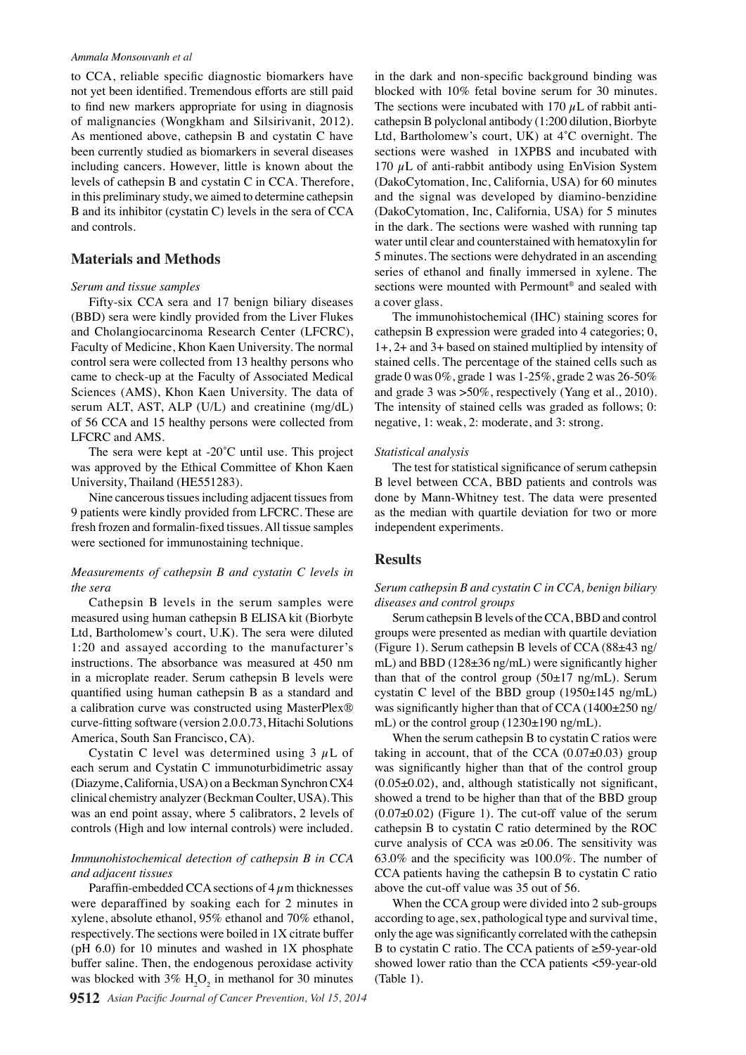#### *Ammala Monsouvanh et al*

to CCA, reliable specific diagnostic biomarkers have not yet been identified. Tremendous efforts are still paid to find new markers appropriate for using in diagnosis of malignancies (Wongkham and Silsirivanit, 2012). As mentioned above, cathepsin B and cystatin C have been currently studied as biomarkers in several diseases including cancers. However, little is known about the levels of cathepsin B and cystatin C in CCA. Therefore, in this preliminary study, we aimed to determine cathepsin B and its inhibitor (cystatin C) levels in the sera of CCA and controls.

### **Materials and Methods**

#### *Serum and tissue samples*

Fifty-six CCA sera and 17 benign biliary diseases (BBD) sera were kindly provided from the Liver Flukes and Cholangiocarcinoma Research Center (LFCRC), Faculty of Medicine, Khon Kaen University. The normal control sera were collected from 13 healthy persons who came to check-up at the Faculty of Associated Medical Sciences (AMS), Khon Kaen University. The data of serum ALT, AST, ALP (U/L) and creatinine (mg/dL) of 56 CCA and 15 healthy persons were collected from LFCRC and AMS.

The sera were kept at -20˚C until use. This project was approved by the Ethical Committee of Khon Kaen University, Thailand (HE551283).

Nine cancerous tissues including adjacent tissues from 9 patients were kindly provided from LFCRC. These are fresh frozen and formalin-fixed tissues. All tissue samples were sectioned for immunostaining technique.

## *Measurements of cathepsin B and cystatin C levels in the sera*

Cathepsin B levels in the serum samples were measured using human cathepsin B ELISA kit (Biorbyte Ltd, Bartholomew's court, U.K). The sera were diluted 1:20 and assayed according to the manufacturer's instructions. The absorbance was measured at 450 nm in a microplate reader. Serum cathepsin B levels were quantified using human cathepsin B as a standard and a calibration curve was constructed using MasterPlex® curve-fitting software (version 2.0.0.73, Hitachi Solutions America, South San Francisco, CA).

Cystatin C level was determined using  $3 \mu L$  of each serum and Cystatin C immunoturbidimetric assay (Diazyme, California, USA) on a Beckman Synchron CX4 clinical chemistry analyzer (Beckman Coulter, USA). This was an end point assay, where 5 calibrators, 2 levels of controls (High and low internal controls) were included.

## *Immunohistochemical detection of cathepsin B in CCA and adjacent tissues*

Paraffin-embedded CCA sections of  $4 \mu$ m thicknesses were deparaffined by soaking each for 2 minutes in xylene, absolute ethanol, 95% ethanol and 70% ethanol, respectively. The sections were boiled in 1X citrate buffer (pH  $6.0$ ) for 10 minutes and washed in 1X phosphate buffer saline. Then, the endogenous peroxidase activity was blocked with  $3\%$  H<sub>2</sub>O<sub>2</sub> in methanol for 30 minutes in the dark and non-specific background binding was blocked with 10% fetal bovine serum for 30 minutes. The sections were incubated with 170  $\mu$ L of rabbit anticathepsin B polyclonal antibody (1:200 dilution, Biorbyte Ltd, Bartholomew's court, UK) at 4̊C overnight. The sections were washed in 1XPBS and incubated with 170  $\mu$ L of anti-rabbit antibody using EnVision System (DakoCytomation, Inc, California, USA) for 60 minutes and the signal was developed by diamino-benzidine (DakoCytomation, Inc, California, USA) for 5 minutes in the dark. The sections were washed with running tap water until clear and counterstained with hematoxylin for 5 minutes. The sections were dehydrated in an ascending series of ethanol and finally immersed in xylene. The sections were mounted with Permount® and sealed with a cover glass.

The immunohistochemical (IHC) staining scores for cathepsin B expression were graded into 4 categories; 0, 1+, 2+ and 3+ based on stained multiplied by intensity of stained cells. The percentage of the stained cells such as grade 0 was 0%, grade 1 was 1-25%, grade 2 was 26-50% and grade 3 was >50%, respectively (Yang et al., 2010). The intensity of stained cells was graded as follows; 0: negative, 1: weak, 2: moderate, and 3: strong.

#### *Statistical analysis*

The test for statistical significance of serum cathepsin B level between CCA, BBD patients and controls was done by Mann-Whitney test. The data were presented as the median with quartile deviation for two or more independent experiments.

# **Results**

## *Serum cathepsin B and cystatin C in CCA, benign biliary diseases and control groups*

Serum cathepsin B levels of the CCA, BBD and control groups were presented as median with quartile deviation (Figure 1). Serum cathepsin B levels of CCA (88±43 ng/ mL) and BBD (128±36 ng/mL) were significantly higher than that of the control group  $(50\pm 17 \text{ ng/mL})$ . Serum cystatin C level of the BBD group (1950±145 ng/mL) was significantly higher than that of CCA (1400±250 ng/ mL) or the control group (1230±190 ng/mL).

When the serum cathepsin B to cystatin C ratios were taking in account, that of the CCA  $(0.07\pm0.03)$  group was significantly higher than that of the control group  $(0.05\pm0.02)$ , and, although statistically not significant, showed a trend to be higher than that of the BBD group  $(0.07\pm0.02)$  (Figure 1). The cut-off value of the serum cathepsin B to cystatin C ratio determined by the ROC curve analysis of CCA was  $\geq 0.06$ . The sensitivity was 63.0% and the specificity was 100.0%. The number of CCA patients having the cathepsin B to cystatin C ratio above the cut-off value was 35 out of 56.

When the CCA group were divided into 2 sub-groups according to age, sex, pathological type and survival time, only the age was significantly correlated with the cathepsin B to cystatin C ratio. The CCA patients of ≥59-year-old showed lower ratio than the CCA patients <59-year-old (Table 1).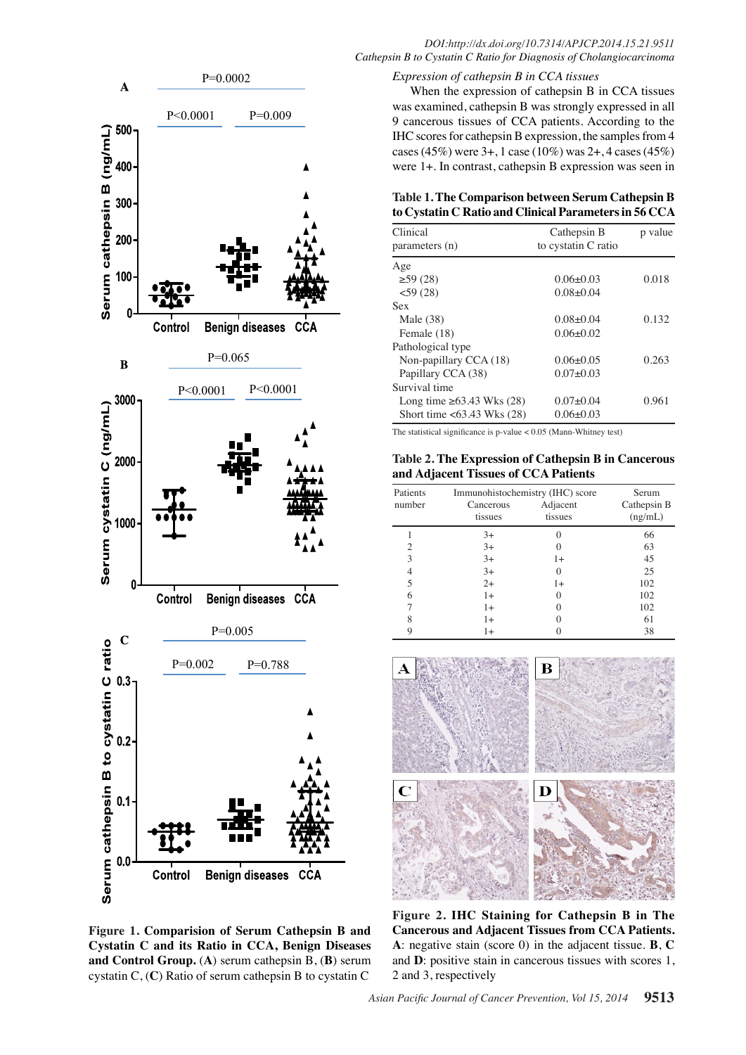

# When the expression of cathepsin B in CCA tissues was examined, cathepsin B was strongly expressed in all

9 cancerous tissues of CCA patients. According to the IHC scores for cathepsin B expression, the samples from 4 cases (45%) were 3+, 1 case (10%) was 2+, 4 cases (45%) were 1+. In contrast, cathepsin B expression was seen in

# **Table 1. The Comparison between Serum Cathepsin B to Cystatin C Ratio and Clinical Parameters in 56 CCA**

| Clinical<br>parameters (n)      | Cathepsin B<br>to cystatin C ratio | p value |
|---------------------------------|------------------------------------|---------|
| Age                             |                                    |         |
| $\geq$ 59 (28)                  | $0.06 + 0.03$                      | 0.018   |
| $<$ 59 $(28)$                   | $0.08 + 0.04$                      |         |
| Sex                             |                                    |         |
| Male $(38)$                     | $0.08 + 0.04$                      | 0.132   |
| Female (18)                     | $0.06 + 0.02$                      |         |
| Pathological type               |                                    |         |
| Non-papillary CCA (18)          | $0.06 + 0.05$                      | 0.263   |
| Papillary CCA (38)              | $0.07+0.03$                        |         |
| Survival time                   |                                    |         |
| Long time $\geq 63.43$ Wks (28) | $0.07 + 0.04$                      | 0.961   |
| Short time <63.43 Wks (28)      | $0.06 + 0.03$                      |         |
|                                 |                                    |         |

The statistical significance is p-value < 0.05 (Mann-Whitney test)

**Table 2. The Expression of Cathepsin B in Cancerous and Adjacent Tissues of CCA Patients**

| Patients       | Immunohistochemistry (IHC) score |                     | Serum                  |
|----------------|----------------------------------|---------------------|------------------------|
| number         | Cancerous<br>tissues             | Adjacent<br>tissues | Cathepsin B<br>(ng/mL) |
|                | $3+$                             |                     | 66                     |
| $\overline{c}$ | $3+$                             |                     | 63                     |
| 3              | $3+$                             | $1+$                | 45                     |
| 4              | $3+$                             | 0                   | 25                     |
| 5              | $2+$                             | $1+$                | 102                    |
| 6              | $1+$                             | 0                   | 102                    |
|                | 1+                               | 0                   | 102                    |
| 8              | 1+                               |                     | 61                     |
|                | 1+                               |                     | 38                     |



**Figure 1. Comparision of Serum Cathepsin B and Cystatin C and its Ratio in CCA, Benign Diseases and Control Group.** (**A**) serum cathepsin B, (**B**) serum cystatin C, (**C**) Ratio of serum cathepsin B to cystatin C

**Figure 2. IHC Staining for Cathepsin B in The Cancerous and Adjacent Tissues from CCA Patients. A**: negative stain (score 0) in the adjacent tissue. **B**, **C** and **D**: positive stain in cancerous tissues with scores 1, 2 and 3, respectively

# *DOI:http://dx.doi.org/10.7314/APJCP.2014.15.21.9511 Cathepsin B to Cystatin C Ratio for Diagnosis of Cholangiocarcinoma*

*Expression of cathepsin B in CCA tissues*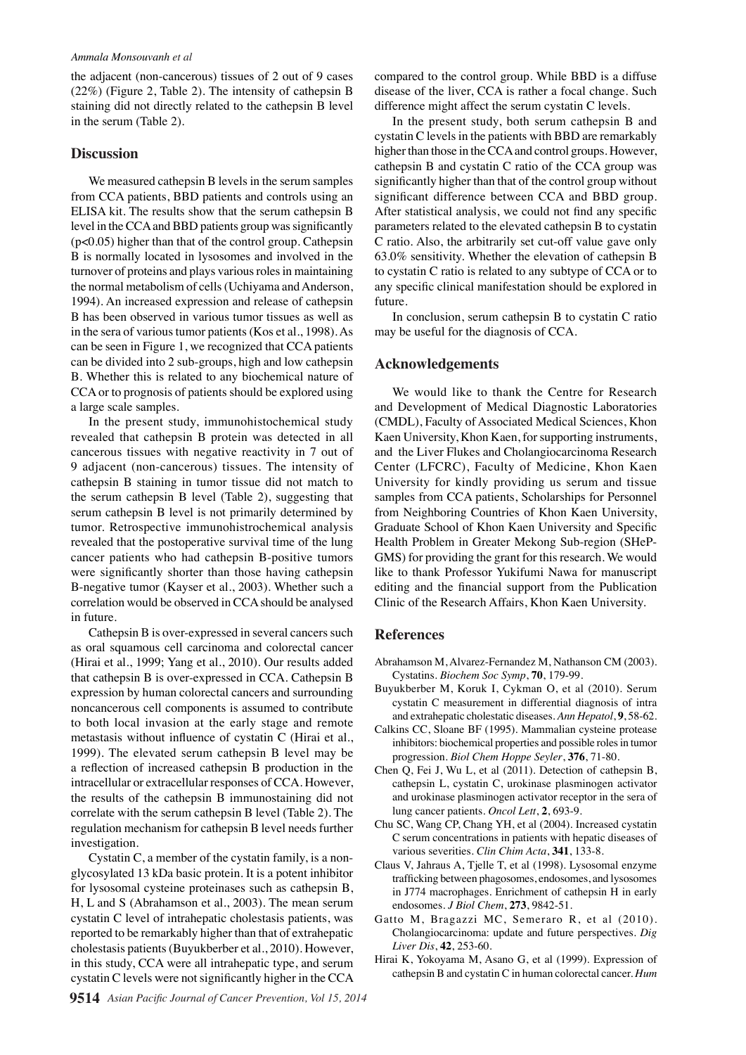the adjacent (non-cancerous) tissues of 2 out of 9 cases (22%) (Figure 2, Table 2). The intensity of cathepsin B staining did not directly related to the cathepsin B level in the serum (Table 2).

### **Discussion**

We measured cathepsin B levels in the serum samples from CCA patients, BBD patients and controls using an ELISA kit. The results show that the serum cathepsin B level in the CCA and BBD patients group was significantly (p<0.05) higher than that of the control group. Cathepsin B is normally located in lysosomes and involved in the turnover of proteins and plays various roles in maintaining the normal metabolism of cells (Uchiyama and Anderson, 1994). An increased expression and release of cathepsin B has been observed in various tumor tissues as well as in the sera of various tumor patients (Kos et al., 1998). As can be seen in Figure 1, we recognized that CCA patients can be divided into 2 sub-groups, high and low cathepsin B. Whether this is related to any biochemical nature of CCA or to prognosis of patients should be explored using a large scale samples.

In the present study, immunohistochemical study revealed that cathepsin B protein was detected in all cancerous tissues with negative reactivity in 7 out of 9 adjacent (non-cancerous) tissues. The intensity of cathepsin B staining in tumor tissue did not match to the serum cathepsin B level (Table 2), suggesting that serum cathepsin B level is not primarily determined by tumor. Retrospective immunohistrochemical analysis revealed that the postoperative survival time of the lung cancer patients who had cathepsin B-positive tumors were significantly shorter than those having cathepsin B-negative tumor (Kayser et al., 2003). Whether such a correlation would be observed in CCA should be analysed in future.

Cathepsin B is over-expressed in several cancers such as oral squamous cell carcinoma and colorectal cancer (Hirai et al., 1999; Yang et al., 2010). Our results added that cathepsin B is over-expressed in CCA. Cathepsin B expression by human colorectal cancers and surrounding noncancerous cell components is assumed to contribute to both local invasion at the early stage and remote metastasis without influence of cystatin C (Hirai et al., 1999). The elevated serum cathepsin B level may be a reflection of increased cathepsin B production in the intracellular or extracellular responses of CCA. However, the results of the cathepsin B immunostaining did not correlate with the serum cathepsin B level (Table 2). The regulation mechanism for cathepsin B level needs further investigation.

Cystatin C, a member of the cystatin family, is a nonglycosylated 13 kDa basic protein. It is a potent inhibitor for lysosomal cysteine proteinases such as cathepsin B, H, L and S (Abrahamson et al., 2003). The mean serum cystatin C level of intrahepatic cholestasis patients, was reported to be remarkably higher than that of extrahepatic cholestasis patients (Buyukberber et al., 2010). However, in this study, CCA were all intrahepatic type, and serum cystatin C levels were not significantly higher in the CCA

compared to the control group. While BBD is a diffuse disease of the liver, CCA is rather a focal change. Such difference might affect the serum cystatin C levels.

In the present study, both serum cathepsin B and cystatin C levels in the patients with BBD are remarkably higher than those in the CCA and control groups. However, cathepsin B and cystatin C ratio of the CCA group was significantly higher than that of the control group without significant difference between CCA and BBD group. After statistical analysis, we could not find any specific parameters related to the elevated cathepsin B to cystatin C ratio. Also, the arbitrarily set cut-off value gave only 63.0% sensitivity. Whether the elevation of cathepsin B to cystatin C ratio is related to any subtype of CCA or to any specific clinical manifestation should be explored in future.

In conclusion, serum cathepsin B to cystatin C ratio may be useful for the diagnosis of CCA.

# **Acknowledgements**

We would like to thank the Centre for Research and Development of Medical Diagnostic Laboratories (CMDL), Faculty of Associated Medical Sciences, Khon Kaen University, Khon Kaen, for supporting instruments, and the Liver Flukes and Cholangiocarcinoma Research Center (LFCRC), Faculty of Medicine, Khon Kaen University for kindly providing us serum and tissue samples from CCA patients, Scholarships for Personnel from Neighboring Countries of Khon Kaen University, Graduate School of Khon Kaen University and Specific Health Problem in Greater Mekong Sub-region (SHeP-GMS) for providing the grant for this research. We would like to thank Professor Yukifumi Nawa for manuscript editing and the financial support from the Publication Clinic of the Research Affairs, Khon Kaen University.

# **References**

- Abrahamson M, Alvarez-Fernandez M, Nathanson CM (2003). Cystatins. *Biochem Soc Symp*, **70**, 179-99.
- Buyukberber M, Koruk I, Cykman O, et al (2010). Serum cystatin C measurement in differential diagnosis of intra and extrahepatic cholestatic diseases. *Ann Hepatol*, **9**, 58-62.
- Calkins CC, Sloane BF (1995). Mammalian cysteine protease inhibitors: biochemical properties and possible roles in tumor progression. *Biol Chem Hoppe Seyler*, **376**, 71-80.
- Chen Q, Fei J, Wu L, et al (2011). Detection of cathepsin B, cathepsin L, cystatin C, urokinase plasminogen activator and urokinase plasminogen activator receptor in the sera of lung cancer patients. *Oncol Lett*, **2**, 693-9.
- Chu SC, Wang CP, Chang YH, et al (2004). Increased cystatin C serum concentrations in patients with hepatic diseases of various severities. *Clin Chim Acta*, **341**, 133-8.
- Claus V, Jahraus A, Tjelle T, et al (1998). Lysosomal enzyme trafficking between phagosomes, endosomes, and lysosomes in J774 macrophages. Enrichment of cathepsin H in early endosomes. *J Biol Chem*, **273**, 9842-51.
- Gatto M, Bragazzi MC, Semeraro R, et al (2010). Cholangiocarcinoma: update and future perspectives. *Dig Liver Dis*, **42**, 253-60.
- Hirai K, Yokoyama M, Asano G, et al (1999). Expression of cathepsin B and cystatin C in human colorectal cancer. *Hum*